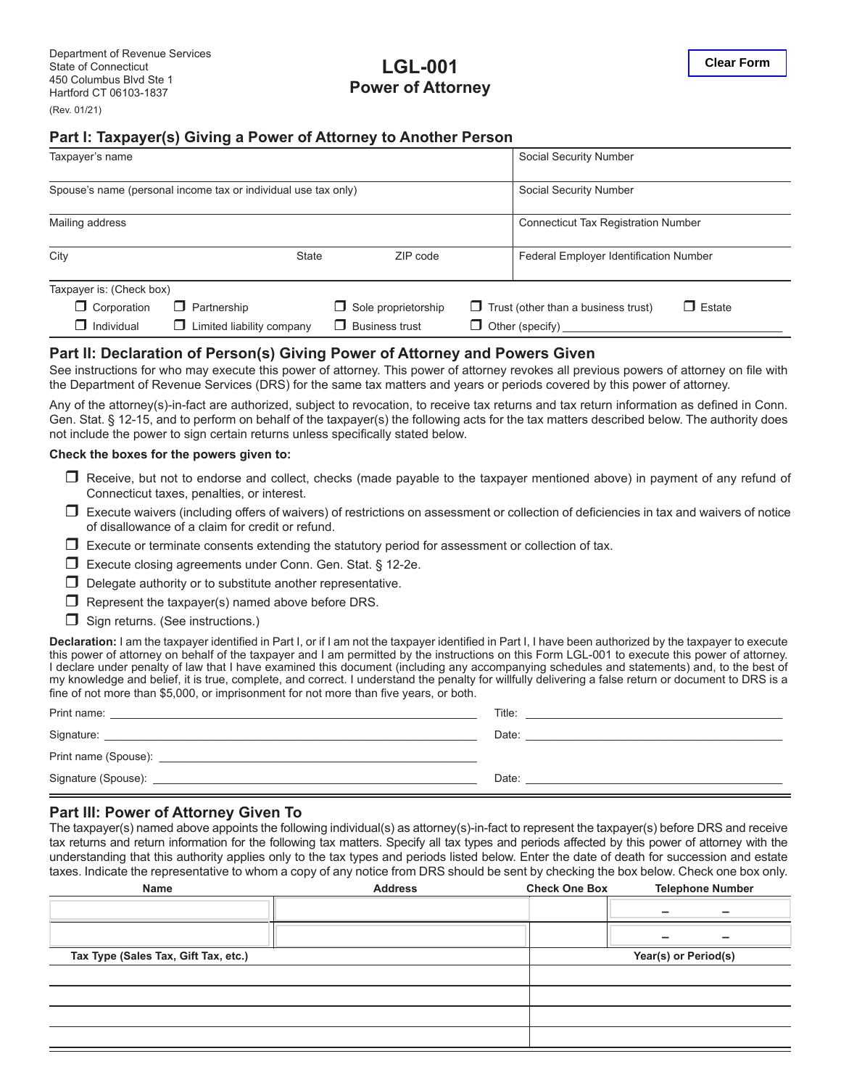# **LGL-001 Power of Attorney**

## **Part I: Taxpayer(s) Giving a Power of Attorney to Another Person**

| Taxpayer's name                                                |                                 | Social Security Number     |                                                             |                                            |  |
|----------------------------------------------------------------|---------------------------------|----------------------------|-------------------------------------------------------------|--------------------------------------------|--|
| Spouse's name (personal income tax or individual use tax only) |                                 |                            |                                                             | Social Security Number                     |  |
| Mailing address                                                |                                 |                            |                                                             | <b>Connecticut Tax Registration Number</b> |  |
| City                                                           | <b>State</b>                    | ZIP code                   |                                                             | Federal Employer Identification Number     |  |
| Taxpayer is: (Check box)                                       |                                 |                            |                                                             |                                            |  |
| $\Box$ Corporation                                             | $\Box$ Partnership              | $\Box$ Sole proprietorship | $\Box$ Trust (other than a business trust)<br>$\Box$ Estate |                                            |  |
| Individual<br>П                                                | Limited liability company<br>П. | $\Box$ Business trust      | $\Box$ Other (specify)                                      |                                            |  |

## **Part II: Declaration of Person(s) Giving Power of Attorney and Powers Given**

See instructions for who may execute this power of attorney. This power of attorney revokes all previous powers of attorney on file with the Department of Revenue Services (DRS) for the same tax matters and years or periods covered by this power of attorney.

Any of the attorney(s)-in-fact are authorized, subject to revocation, to receive tax returns and tax return information as defined in Conn. Gen. Stat. § 12-15, and to perform on behalf of the taxpayer(s) the following acts for the tax matters described below. The authority does not include the power to sign certain returns unless specifically stated below.

#### **Check the boxes for the powers given to:**

- □ Receive, but not to endorse and collect, checks (made payable to the taxpayer mentioned above) in payment of any refund of Connecticut taxes, penalties, or interest.
- $\Box$  Execute waivers (including offers of waivers) of restrictions on assessment or collection of deficiencies in tax and waivers of notice of disallowance of a claim for credit or refund.
- $\Box$  Execute or terminate consents extending the statutory period for assessment or collection of tax.
- Execute closing agreements under Conn. Gen. Stat. § 12-2e.
- $\Box$  Delegate authority or to substitute another representative.
- $\Box$  Represent the taxpayer(s) named above before DRS.
- $\Box$  Sign returns. (See instructions.)

**Declaration:** I am the taxpayer identified in Part I, or if I am not the taxpayer identified in Part I, I have been authorized by the taxpayer to execute this power of attorney on behalf of the taxpayer and I am permitted by the instructions on this Form LGL-001 to execute this power of attorney. I declare under penalty of law that I have examined this document (including any accompanying schedules and statements) and, to the best of my knowledge and belief, it is true, complete, and correct. I understand the penalty for willfully delivering a false return or document to DRS is a fine of not more than \$5,000, or imprisonment for not more than five years, or both.

| Print name:          | Title: |
|----------------------|--------|
| Signature:           | Date:  |
| Print name (Spouse): |        |
| Signature (Spouse):  | Date:  |

#### **Part III: Power of Attorney Given To**

The taxpayer(s) named above appoints the following individual(s) as attorney(s)-in-fact to represent the taxpayer(s) before DRS and receive tax returns and return information for the following tax matters. Specify all tax types and periods affected by this power of attorney with the understanding that this authority applies only to the tax types and periods listed below. Enter the date of death for succession and estate taxes. Indicate the representative to whom a copy of any notice from DRS should be sent by checking the box below. Check one box only.

| Name                                 | <b>Address</b>       | <b>Check One Box</b> | <b>Telephone Number</b> |  |
|--------------------------------------|----------------------|----------------------|-------------------------|--|
|                                      |                      |                      | -                       |  |
|                                      |                      |                      |                         |  |
| Tax Type (Sales Tax, Gift Tax, etc.) | Year(s) or Period(s) |                      |                         |  |
|                                      |                      |                      |                         |  |
|                                      |                      |                      |                         |  |
|                                      |                      |                      |                         |  |
|                                      |                      |                      |                         |  |